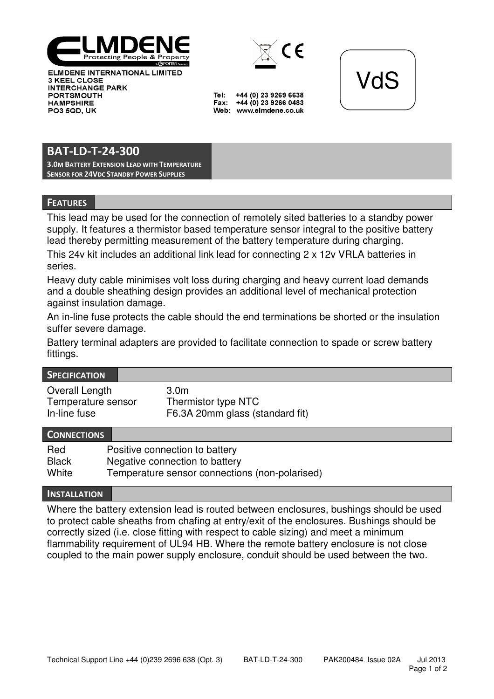

**ELMDENE INTERNATIONAL LIMITED** 3 KEEL CLOSE **INTERCHANGE PARK PORTSMOUTH HAMPSHIRE PO3 5QD. UK** 



+44 (0) 23 9269 6638 Tel: Fax: +44 (0) 23 9266 0483 Web: www.elmdene.co.uk



# BAT-LD-T-24-300

3.0M BATTERY EXTENSION LEAD WITH TEMPERATURE SENSOR FOR 24VDC STANDBY POWER SUPPLIES

### **FEATURES**

This lead may be used for the connection of remotely sited batteries to a standby power supply. It features a thermistor based temperature sensor integral to the positive battery lead thereby permitting measurement of the battery temperature during charging.

This 24v kit includes an additional link lead for connecting 2 x 12v VRLA batteries in series.

Heavy duty cable minimises volt loss during charging and heavy current load demands and a double sheathing design provides an additional level of mechanical protection against insulation damage.

An in-line fuse protects the cable should the end terminations be shorted or the insulation suffer severe damage.

Battery terminal adapters are provided to facilitate connection to spade or screw battery fittings.

#### **SPECIFICATION**

| Overall Length     | 3.0m                            |
|--------------------|---------------------------------|
| Temperature sensor | Thermistor type NTC             |
| In-line fuse       | F6.3A 20mm glass (standard fit) |

### **CONNECTIONS**

| Red          | Positive connection to battery                 |
|--------------|------------------------------------------------|
| <b>Black</b> | Negative connection to battery                 |
| White        | Temperature sensor connections (non-polarised) |

### **INSTALLATION**

Where the battery extension lead is routed between enclosures, bushings should be used to protect cable sheaths from chafing at entry/exit of the enclosures. Bushings should be correctly sized (i.e. close fitting with respect to cable sizing) and meet a minimum flammability requirement of UL94 HB. Where the remote battery enclosure is not close coupled to the main power supply enclosure, conduit should be used between the two.